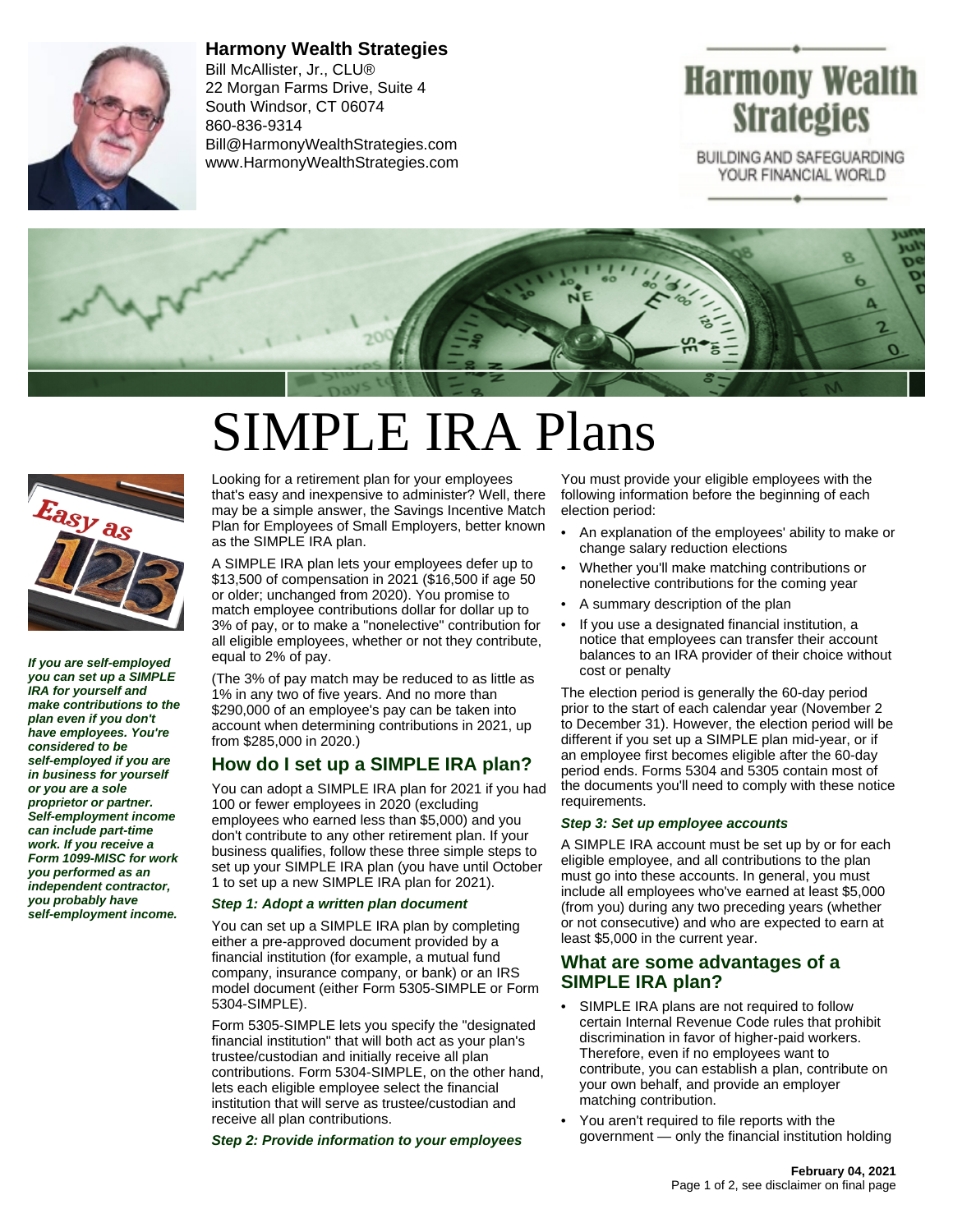

**Harmony Wealth Strategies** Bill McAllister, Jr., CLU® 22 Morgan Farms Drive, Suite 4 South Windsor, CT 06074 860-836-9314 Bill@HarmonyWealthStrategies.com www.HarmonyWealthStrategies.com

# Harmony Wealth **Strategies**

BUILDING AND SAFEGUARDING YOUR FINANCIAL WORLD



# SIMPLE IRA Plans



**If you are self-employed you can set up a SIMPLE IRA for yourself and make contributions to the plan even if you don't have employees. You're considered to be self-employed if you are in business for yourself or you are a sole proprietor or partner. Self-employment income can include part-time work. If you receive a Form 1099-MISC for work you performed as an independent contractor, you probably have self-employment income.**

Looking for a retirement plan for your employees that's easy and inexpensive to administer? Well, there may be a simple answer, the Savings Incentive Match Plan for Employees of Small Employers, better known as the SIMPLE IRA plan.

A SIMPLE IRA plan lets your employees defer up to \$13,500 of compensation in 2021 (\$16,500 if age 50 or older; unchanged from 2020). You promise to match employee contributions dollar for dollar up to 3% of pay, or to make a "nonelective" contribution for all eligible employees, whether or not they contribute, equal to 2% of pay.

(The 3% of pay match may be reduced to as little as 1% in any two of five years. And no more than \$290,000 of an employee's pay can be taken into account when determining contributions in 2021, up from \$285,000 in 2020.)

# **How do I set up a SIMPLE IRA plan?**

You can adopt a SIMPLE IRA plan for 2021 if you had 100 or fewer employees in 2020 (excluding employees who earned less than \$5,000) and you don't contribute to any other retirement plan. If your business qualifies, follow these three simple steps to set up your SIMPLE IRA plan (you have until October 1 to set up a new SIMPLE IRA plan for 2021).

#### **Step 1: Adopt a written plan document**

You can set up a SIMPLE IRA plan by completing either a pre-approved document provided by a financial institution (for example, a mutual fund company, insurance company, or bank) or an IRS model document (either Form 5305-SIMPLE or Form 5304-SIMPLE).

Form 5305-SIMPLE lets you specify the "designated financial institution" that will both act as your plan's trustee/custodian and initially receive all plan contributions. Form 5304-SIMPLE, on the other hand, lets each eligible employee select the financial institution that will serve as trustee/custodian and receive all plan contributions.

**Step 2: Provide information to your employees**

You must provide your eligible employees with the following information before the beginning of each election period:

- An explanation of the employees' ability to make or change salary reduction elections
- Whether you'll make matching contributions or nonelective contributions for the coming year
- A summary description of the plan
- If you use a designated financial institution, a notice that employees can transfer their account balances to an IRA provider of their choice without cost or penalty

The election period is generally the 60-day period prior to the start of each calendar year (November 2 to December 31). However, the election period will be different if you set up a SIMPLE plan mid-year, or if an employee first becomes eligible after the 60-day period ends. Forms 5304 and 5305 contain most of the documents you'll need to comply with these notice requirements.

#### **Step 3: Set up employee accounts**

A SIMPLE IRA account must be set up by or for each eligible employee, and all contributions to the plan must go into these accounts. In general, you must include all employees who've earned at least \$5,000 (from you) during any two preceding years (whether or not consecutive) and who are expected to earn at least \$5,000 in the current year.

### **What are some advantages of a SIMPLE IRA plan?**

- SIMPLE IRA plans are not required to follow certain Internal Revenue Code rules that prohibit discrimination in favor of higher-paid workers. Therefore, even if no employees want to contribute, you can establish a plan, contribute on your own behalf, and provide an employer matching contribution.
- You aren't required to file reports with the government — only the financial institution holding